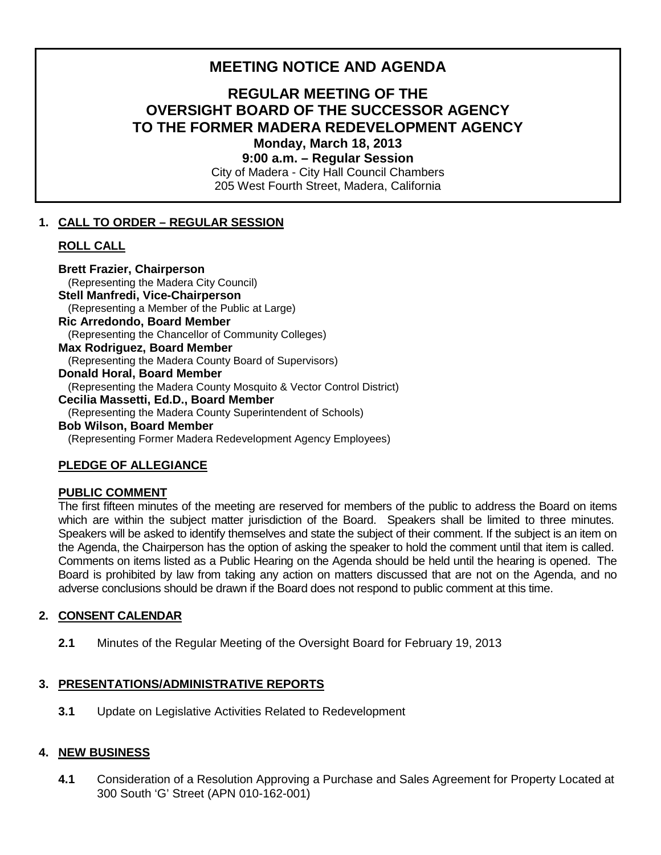# **MEETING NOTICE AND AGENDA**

## **REGULAR MEETING OF THE OVERSIGHT BOARD OF THE SUCCESSOR AGENCY TO THE FORMER MADERA REDEVELOPMENT AGENCY Monday, March 18, 2013 9:00 a.m. – Regular Session**

City of Madera - City Hall Council Chambers 205 West Fourth Street, Madera, California

### **1. CALL TO ORDER – REGULAR SESSION**

#### **ROLL CALL**

**Brett Frazier, Chairperson** (Representing the Madera City Council) **Stell Manfredi, Vice-Chairperson** (Representing a Member of the Public at Large) **Ric Arredondo, Board Member** (Representing the Chancellor of Community Colleges) **Max Rodriguez, Board Member**  (Representing the Madera County Board of Supervisors) **Donald Horal, Board Member** (Representing the Madera County Mosquito & Vector Control District) **Cecilia Massetti, Ed.D., Board Member** (Representing the Madera County Superintendent of Schools) **Bob Wilson, Board Member**  (Representing Former Madera Redevelopment Agency Employees)

# **PLEDGE OF ALLEGIANCE**

#### **PUBLIC COMMENT**

The first fifteen minutes of the meeting are reserved for members of the public to address the Board on items which are within the subject matter jurisdiction of the Board. Speakers shall be limited to three minutes. Speakers will be asked to identify themselves and state the subject of their comment. If the subject is an item on the Agenda, the Chairperson has the option of asking the speaker to hold the comment until that item is called. Comments on items listed as a Public Hearing on the Agenda should be held until the hearing is opened. The Board is prohibited by law from taking any action on matters discussed that are not on the Agenda, and no adverse conclusions should be drawn if the Board does not respond to public comment at this time.

#### **2. CONSENT CALENDAR**

**2.1** Minutes of the Regular Meeting of the Oversight Board for February 19, 2013

#### **3. PRESENTATIONS/ADMINISTRATIVE REPORTS**

**3.1** Update on Legislative Activities Related to Redevelopment

#### **4. NEW BUSINESS**

**4.1** Consideration of a Resolution Approving a Purchase and Sales Agreement for Property Located at 300 South 'G' Street (APN 010-162-001)